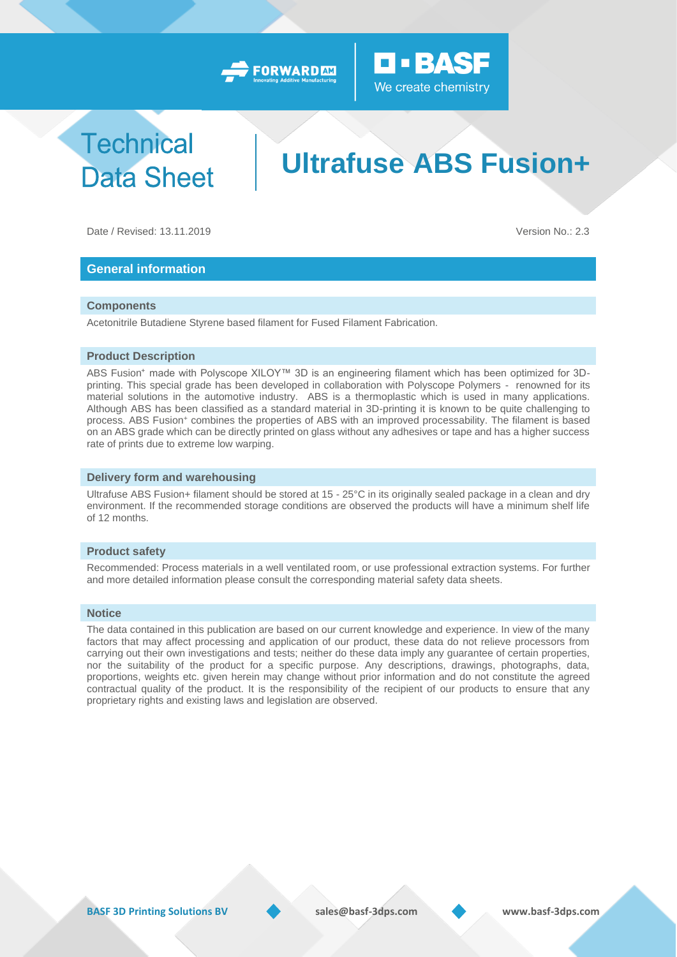



## **Technical Data Sheet**

# **Ultrafuse ABS Fusion+**

Date / Revised: 13.11.2019 Version No.: 2.3

### **General information**

#### **Components**

Acetonitrile Butadiene Styrene based filament for Fused Filament Fabrication.

#### **Product Description**

ABS Fusion<sup>+</sup> made with Polyscope XILOY™ 3D is an engineering filament which has been optimized for 3Dprinting. This special grade has been developed in collaboration with Polyscope Polymers - renowned for its material solutions in the automotive industry. ABS is a thermoplastic which is used in many applications. Although ABS has been classified as a standard material in 3D-printing it is known to be quite challenging to process. ABS Fusion+ combines the properties of ABS with an improved processability. The filament is based on an ABS grade which can be directly printed on glass without any adhesives or tape and has a higher success rate of prints due to extreme low warping.

#### **Delivery form and warehousing**

Ultrafuse ABS Fusion+ filament should be stored at 15 - 25°C in its originally sealed package in a clean and dry environment. If the recommended storage conditions are observed the products will have a minimum shelf life of 12 months.

#### **Product safety**

Recommended: Process materials in a well ventilated room, or use professional extraction systems. For further and more detailed information please consult the corresponding material safety data sheets.

#### **Notice**

The data contained in this publication are based on our current knowledge and experience. In view of the many factors that may affect processing and application of our product, these data do not relieve processors from carrying out their own investigations and tests; neither do these data imply any guarantee of certain properties, nor the suitability of the product for a specific purpose. Any descriptions, drawings, photographs, data, proportions, weights etc. given herein may change without prior information and do not constitute the agreed contractual quality of the product. It is the responsibility of the recipient of our products to ensure that any proprietary rights and existing laws and legislation are observed.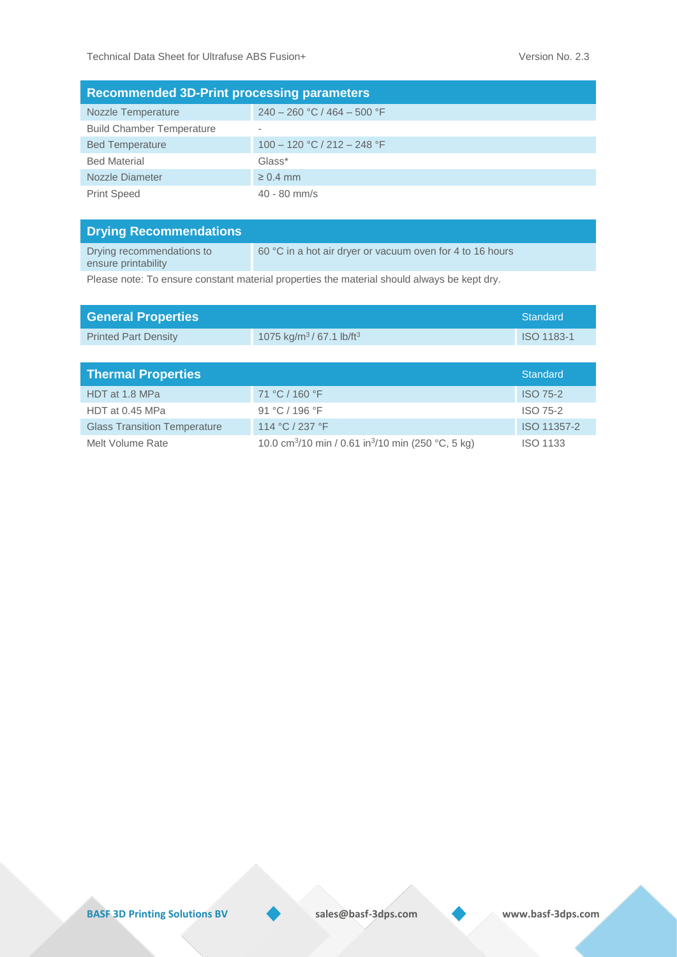| <b>Recommended 3D-Print processing parameters</b> |                               |  |  |  |  |
|---------------------------------------------------|-------------------------------|--|--|--|--|
| Nozzle Temperature                                | $240 - 260$ °C / 464 - 500 °F |  |  |  |  |
| <b>Build Chamber Temperature</b>                  | $\overline{\phantom{a}}$      |  |  |  |  |
| <b>Bed Temperature</b>                            | $100 - 120$ °C / 212 - 248 °F |  |  |  |  |
| <b>Bed Material</b>                               | Glass*                        |  |  |  |  |
| Nozzle Diameter                                   | $\geq 0.4$ mm                 |  |  |  |  |
| <b>Print Speed</b>                                | $40 - 80$ mm/s                |  |  |  |  |

| <b>Drying Recommendations</b>                    |                                                           |
|--------------------------------------------------|-----------------------------------------------------------|
| Drying recommendations to<br>ensure printability | 60 °C in a hot air dryer or vacuum oven for 4 to 16 hours |

Please note: To ensure constant material properties the material should always be kept dry.

| <b>General Properties</b>           |                                                                            | <b>Standard</b> |
|-------------------------------------|----------------------------------------------------------------------------|-----------------|
| <b>Printed Part Density</b>         | 1075 kg/m <sup>3</sup> /67.1 lb/ft <sup>3</sup>                            | ISO 1183-1      |
|                                     |                                                                            |                 |
| <b>Thermal Properties</b>           |                                                                            | <b>Standard</b> |
| HDT at 1.8 MPa                      | 71 °C / 160 °F                                                             | <b>ISO 75-2</b> |
| HDT at 0.45 MPa                     | 91 °C / 196 °F                                                             | <b>ISO 75-2</b> |
| <b>Glass Transition Temperature</b> | 114 °C / 237 °F                                                            | ISO 11357-2     |
| Melt Volume Rate                    | 10.0 cm <sup>3</sup> /10 min / 0.61 in <sup>3</sup> /10 min (250 °C, 5 kg) | <b>ISO 1133</b> |